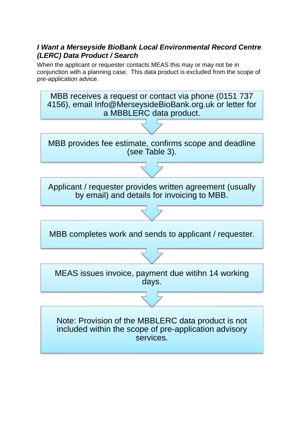# *I Want a Merseyside BioBank Local Environmental Record Centre (LERC) Data Product / Search*

When the applicant or requester contacts MEAS this may or may not be in conjunction with a planning case. This data product is excluded from the scope of pre-application advice.

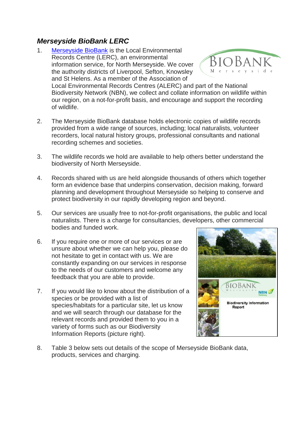# *Merseyside BioBank LERC*

- 1. [Merseyside BioBank](https://activenaturalist.org.uk/mbb/) is the Local Environmental Records Centre (LERC), an environmental BioBank information service, for North Merseyside. We cover the authority districts of Liverpool, Sefton, Knowsley and St Helens. As a member of the Association of Local Environmental Records Centres (ALERC) and part of the National Biodiversity Network (NBN), we collect and collate information on wildlife within our region, on a not-for-profit basis, and encourage and support the recording of wildlife.
- 2. The Merseyside BioBank database holds electronic copies of wildlife records provided from a wide range of sources, including; local naturalists, volunteer recorders, local natural history groups, professional consultants and national recording schemes and societies.
- 3. The wildlife records we hold are available to help others better understand the biodiversity of North Merseyside.
- 4. Records shared with us are held alongside thousands of others which together form an evidence base that underpins conservation, decision making, forward planning and development throughout Merseyside so helping to conserve and protect biodiversity in our rapidly developing region and beyond.
- 5. Our services are usually free to not-for-profit organisations, the public and local naturalists. There is a charge for consultancies, developers, other commercial bodies and funded work.
- 6. If you require one or more of our services or are unsure about whether we can help you, please do not hesitate to get in contact with us. We are constantly expanding on our services in response to the needs of our customers and welcome any feedback that you are able to provide.
- 7. If you would like to know about the distribution of a species or be provided with a list of species/habitats for a particular site, let us know and we will search through our database for the relevant records and provided them to you in a variety of forms such as our Biodiversity Information Reports (picture right).



8. Table 3 below sets out details of the scope of Merseyside BioBank data, products, services and charging.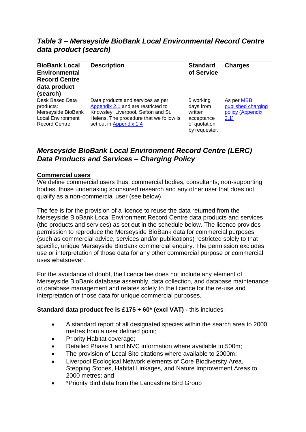*Table 3 – Merseyside BioBank Local Environmental Record Centre data product (search)*

| <b>BioBank Local</b><br><b>Environmental</b><br><b>Record Centre</b><br>data product<br>(search)       | <b>Description</b>                                                                                                                                                                   | <b>Standard</b><br>of Service                                                    | <b>Charges</b>                                               |
|--------------------------------------------------------------------------------------------------------|--------------------------------------------------------------------------------------------------------------------------------------------------------------------------------------|----------------------------------------------------------------------------------|--------------------------------------------------------------|
| Desk Based Data<br>products:<br>Merseyside BioBank<br><b>Local Environment</b><br><b>Record Centre</b> | Data products and services as per<br>Appendix 2.1 and are restricted to<br>Knowsley, Liverpool, Sefton and St.<br>Helens. The procedure that we follow is<br>set out in Appendix 1.4 | 5 working<br>days from<br>written<br>acceptance<br>of quotation<br>by requester. | As per MBB<br>published charging<br>policy (Appendix<br>2.1) |

# *Merseyside BioBank Local Environment Record Centre (LERC) Data Products and Services – Charging Policy*

#### **Commercial users**

We define commercial users thus: commercial bodies, consultants, non-supporting bodies, those undertaking sponsored research and any other user that does not qualify as a non-commercial user (see below).

The fee is for the provision of a licence to reuse the data returned from the Merseyside BioBank Local Environment Record Centre data products and services (the products and services) as set out in the schedule below. The licence provides permission to reproduce the Merseyside BioBank data for commercial purposes (such as commercial advice, services and/or publications) restricted solely to that specific, unique Merseyside BioBank commercial enquiry. The permission excludes use or interpretation of those data for any other commercial purpose or commercial uses whatsoever.

For the avoidance of doubt, the licence fee does not include any element of Merseyside BioBank database assembly, data collection, and database maintenance or database management and relates solely to the licence for the re-use and interpretation of those data for unique commercial purposes.

## **Standard data product fee is £175 + 60\* (excl VAT) -** this includes:

- A standard report of all designated species within the search area to 2000 metres from a user defined point;
- Priority Habitat coverage;
- Detailed Phase 1 and NVC information where available to 500m;
- The provision of Local Site citations where available to 2000m;
- Liverpool Ecological Network elements of Core Biodiversity Area, Stepping Stones, Habitat Linkages, and Nature Improvement Areas to 2000 metres; and
- \*Priority Bird data from the Lancashire Bird Group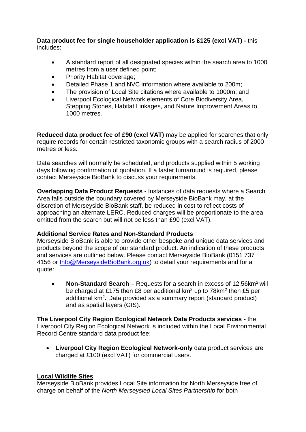#### **Data product fee for single householder application is £125 (excl VAT) -** this includes:

- A standard report of all designated species within the search area to 1000 metres from a user defined point;
- Priority Habitat coverage;
- Detailed Phase 1 and NVC information where available to 200m;
- The provision of Local Site citations where available to 1000m; and
- Liverpool Ecological Network elements of Core Biodiversity Area, Stepping Stones, Habitat Linkages, and Nature Improvement Areas to 1000 metres.

**Reduced data product fee of £90 (excl VAT)** may be applied for searches that only require records for certain restricted taxonomic groups with a search radius of 2000 metres or less.

Data searches will normally be scheduled, and products supplied within 5 working days following confirmation of quotation. If a faster turnaround is required, please contact Merseyside BioBank to discuss your requirements.

**Overlapping Data Product Requests -** Instances of data requests where a Search Area falls outside the boundary covered by Merseyside BioBank may, at the discretion of Merseyside BioBank staff, be reduced in cost to reflect costs of approaching an alternate LERC. Reduced charges will be proportionate to the area omitted from the search but will not be less than £90 (excl VAT).

## **Additional Service Rates and Non-Standard Products**

Merseyside BioBank is able to provide other bespoke and unique data services and products beyond the scope of our standard product. An indication of these products and services are outlined below. Please contact Merseyside BioBank (0151 737 4156 or [Info@MerseysideBioBank.org.uk\)](mailto:Info@MerseysideBioBank.org.uk) to detail your requirements and for a quote:

**Non-Standard Search** – Requests for a search in excess of 12.56km<sup>2</sup> will be charged at £175 then £8 per additional km<sup>2</sup> up to 78km<sup>2</sup> then £5 per additional km<sup>2</sup> **.** Data provided as a summary report (standard product) and as spatial layers (GIS).

**The Liverpool City Region Ecological Network Data Products services -** the Liverpool City Region Ecological Network is included within the Local Environmental Record Centre standard data product fee:

• **Liverpool City Region Ecological Network-only** data product services are charged at £100 (excl VAT) for commercial users.

## **Local Wildlife Sites**

Merseyside BioBank provides Local Site information for North Merseyside free of charge on behalf of the *North Merseysied Local Sites Partnership* for both